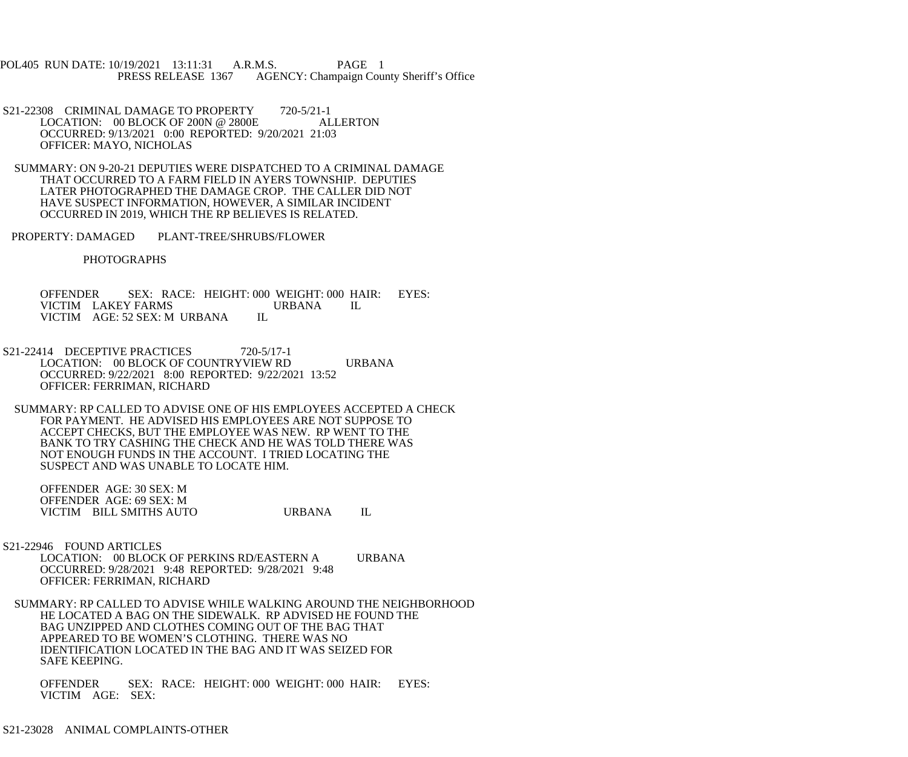POL405 RUN DATE: 10/19/2021 13:11:31 A.R.M.S. PAGE 1 PRESS RELEASE 1367 AGENCY: Champaign County Sheriff's Office

- S21-22308 CRIMINAL DAMAGE TO PROPERTY 720-5/21-1<br>LOCATION: 00 BLOCK OF 200N @ 2800E ALLERTON LOCATION:  $00$  BLOCK OF 200N @ 2800E OCCURRED: 9/13/2021 0:00 REPORTED: 9/20/2021 21:03 OFFICER: MAYO, NICHOLAS
- SUMMARY: ON 9-20-21 DEPUTIES WERE DISPATCHED TO A CRIMINAL DAMAGE THAT OCCURRED TO A FARM FIELD IN AYERS TOWNSHIP. DEPUTIES LATER PHOTOGRAPHED THE DAMAGE CROP. THE CALLER DID NOT HAVE SUSPECT INFORMATION, HOWEVER, A SIMILAR INCIDENT OCCURRED IN 2019, WHICH THE RP BELIEVES IS RELATED.
- PROPERTY: DAMAGED PLANT-TREE/SHRUBS/FLOWER

PHOTOGRAPHS

 OFFENDER SEX: RACE: HEIGHT: 000 WEIGHT: 000 HAIR: EYES: VICTIM LAKEY FARMS URBANA IL VICTIM AGE: 52 SEX: MURBANA IL VICTIM AGE: 52 SEX: M URBANA

- S21-22414 DECEPTIVE PRACTICES 720-5/17-1 LOCATION: 00 BLOCK OF COUNTRYVIEW RD URBANA OCCURRED: 9/22/2021 8:00 REPORTED: 9/22/2021 13:52 OFFICER: FERRIMAN, RICHARD
	- SUMMARY: RP CALLED TO ADVISE ONE OF HIS EMPLOYEES ACCEPTED A CHECK FOR PAYMENT. HE ADVISED HIS EMPLOYEES ARE NOT SUPPOSE TO ACCEPT CHECKS, BUT THE EMPLOYEE WAS NEW. RP WENT TO THE BANK TO TRY CASHING THE CHECK AND HE WAS TOLD THERE WAS NOT ENOUGH FUNDS IN THE ACCOUNT. I TRIED LOCATING THE SUSPECT AND WAS UNABLE TO LOCATE HIM.

 OFFENDER AGE: 30 SEX: M OFFENDER AGE: 69 SEX: M VICTIM BILL SMITHS AUTO URBANA IL

S21-22946 FOUND ARTICLES

 LOCATION: 00 BLOCK OF PERKINS RD/EASTERN A URBANA OCCURRED: 9/28/2021 9:48 REPORTED: 9/28/2021 9:48 OFFICER: FERRIMAN, RICHARD

 SUMMARY: RP CALLED TO ADVISE WHILE WALKING AROUND THE NEIGHBORHOOD HE LOCATED A BAG ON THE SIDEWALK. RP ADVISED HE FOUND THE BAG UNZIPPED AND CLOTHES COMING OUT OF THE BAG THAT APPEARED TO BE WOMEN'S CLOTHING. THERE WAS NO IDENTIFICATION LOCATED IN THE BAG AND IT WAS SEIZED FOR SAFE KEEPING.

 OFFENDER SEX: RACE: HEIGHT: 000 WEIGHT: 000 HAIR: EYES: VICTIM AGE: SEX: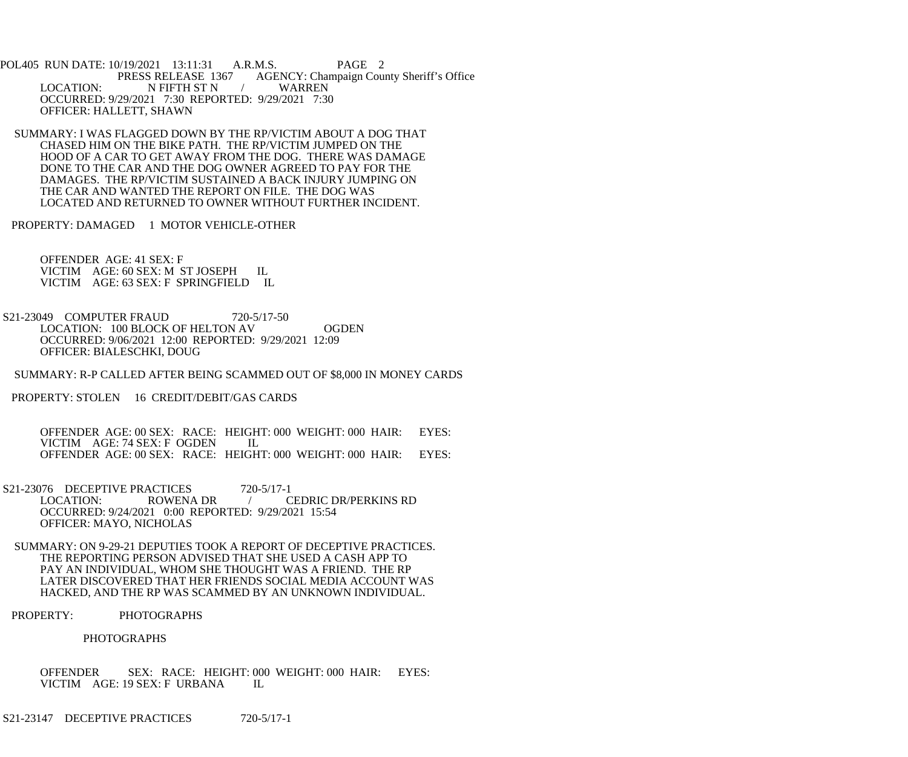POL405 RUN DATE: 10/19/2021 13:11:31 A.R.M.S. PAGE 2 PRESS RELEASE 1367 AGENCY: Champaign County Sheriff's Office LOCATION: N FIFTH ST N / WARREN OCCURRED: 9/29/2021 7:30 REPORTED: 9/29/2021 7:30 OFFICER: HALLETT, SHAWN

 SUMMARY: I WAS FLAGGED DOWN BY THE RP/VICTIM ABOUT A DOG THAT CHASED HIM ON THE BIKE PATH. THE RP/VICTIM JUMPED ON THE HOOD OF A CAR TO GET AWAY FROM THE DOG. THERE WAS DAMAGE DONE TO THE CAR AND THE DOG OWNER AGREED TO PAY FOR THE DAMAGES. THE RP/VICTIM SUSTAINED A BACK INJURY JUMPING ON THE CAR AND WANTED THE REPORT ON FILE. THE DOG WAS LOCATED AND RETURNED TO OWNER WITHOUT FURTHER INCIDENT.

PROPERTY: DAMAGED 1 MOTOR VEHICLE-OTHER

 OFFENDER AGE: 41 SEX: F VICTIM AGE: 60 SEX: M ST JOSEPH IL VICTIM AGE: 63 SEX: F SPRINGFIELD IL

S21-23049 COMPUTER FRAUD 720-5/17-50 LOCATION: 100 BLOCK OF HELTON AV OGDEN OCCURRED: 9/06/2021 12:00 REPORTED: 9/29/2021 12:09 OFFICER: BIALESCHKI, DOUG

SUMMARY: R-P CALLED AFTER BEING SCAMMED OUT OF \$8,000 IN MONEY CARDS

PROPERTY: STOLEN 16 CREDIT/DEBIT/GAS CARDS

 OFFENDER AGE: 00 SEX: RACE: HEIGHT: 000 WEIGHT: 000 HAIR: EYES: VICTIM AGE: 74 SEX: F OGDEN IL OFFENDER AGE: 00 SEX: RACE: HEIGHT: 000 WEIGHT: 000 HAIR: EYES:

- S21-23076 DECEPTIVE PRACTICES 720-5/17-1<br>LOCATION: ROWENA DR / C / CEDRIC DR/PERKINS RD OCCURRED: 9/24/2021 0:00 REPORTED: 9/29/2021 15:54 OFFICER: MAYO, NICHOLAS
- SUMMARY: ON 9-29-21 DEPUTIES TOOK A REPORT OF DECEPTIVE PRACTICES. THE REPORTING PERSON ADVISED THAT SHE USED A CASH APP TO PAY AN INDIVIDUAL, WHOM SHE THOUGHT WAS A FRIEND. THE RP LATER DISCOVERED THAT HER FRIENDS SOCIAL MEDIA ACCOUNT WAS HACKED, AND THE RP WAS SCAMMED BY AN UNKNOWN INDIVIDUAL.
- PROPERTY: PHOTOGRAPHS

## PHOTOGRAPHS

 OFFENDER SEX: RACE: HEIGHT: 000 WEIGHT: 000 HAIR: EYES: VICTIM AGE: 19 SEX: F URBANA IL

S21-23147 DECEPTIVE PRACTICES 720-5/17-1